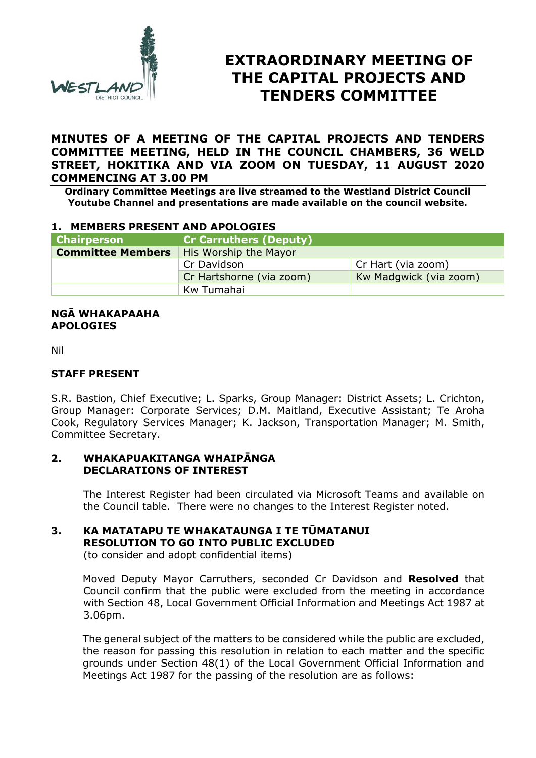

# **EXTRAORDINARY MEETING OF THE CAPITAL PROJECTS AND TENDERS COMMITTEE**

**MINUTES OF A MEETING OF THE CAPITAL PROJECTS AND TENDERS COMMITTEE MEETING, HELD IN THE COUNCIL CHAMBERS, 36 WELD STREET, HOKITIKA AND VIA ZOOM ON TUESDAY, 11 AUGUST 2020 COMMENCING AT 3.00 PM** 

**Ordinary Committee Meetings are live streamed to the Westland District Council Youtube Channel and presentations are made available on the council website.** 

## **1. MEMBERS PRESENT AND APOLOGIES**

| <b>Chairperson</b>       | <b>Cr Carruthers (Deputy)</b> |                        |
|--------------------------|-------------------------------|------------------------|
| <b>Committee Members</b> | <b>His Worship the Mayor</b>  |                        |
|                          | Cr Davidson                   | Cr Hart (via zoom)     |
|                          | Cr Hartshorne (via zoom)      | Kw Madgwick (via zoom) |
|                          | Kw Tumahai                    |                        |

#### **NGĀ WHAKAPAAHA APOLOGIES**

Nil

### **STAFF PRESENT**

S.R. Bastion, Chief Executive; L. Sparks, Group Manager: District Assets; L. Crichton, Group Manager: Corporate Services; D.M. Maitland, Executive Assistant; Te Aroha Cook, Regulatory Services Manager; K. Jackson, Transportation Manager; M. Smith, Committee Secretary.

#### **2. WHAKAPUAKITANGA WHAIPĀNGA DECLARATIONS OF INTEREST**

The Interest Register had been circulated via Microsoft Teams and available on the Council table. There were no changes to the Interest Register noted.

#### **3. KA MATATAPU TE WHAKATAUNGA I TE TŪMATANUI RESOLUTION TO GO INTO PUBLIC EXCLUDED**  (to consider and adopt confidential items)

Moved Deputy Mayor Carruthers, seconded Cr Davidson and **Resolved** that Council confirm that the public were excluded from the meeting in accordance with Section 48, Local Government Official Information and Meetings Act 1987 at 3.06pm.

The general subject of the matters to be considered while the public are excluded, the reason for passing this resolution in relation to each matter and the specific grounds under Section 48(1) of the Local Government Official Information and Meetings Act 1987 for the passing of the resolution are as follows: